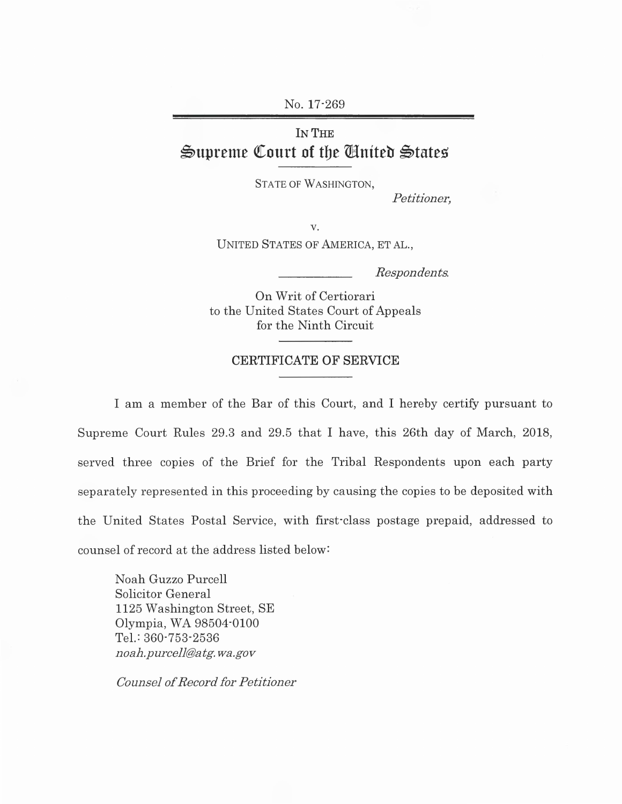No. 17-269

## IN THE  $\mathfrak{S}$ upreme Court of the United  $\mathfrak{S}$ tates

STATE OF WASHINGTON,

*Petitioner,* 

v. UNITED STATES OF AMERICA, ET AL.,

*Respondents.* 

On Writ of Certiorari to the United States Court of Appeals for the Ninth Circuit

## CERTIFICATE OF SERVICE

I am a member of the Bar of this Court, and I hereby certify pursuant to Supreme Court Rules 29.3 and 29.5 that I have, this 26th day of March, 2018, served three copies of the Brief for the Tribal Respondents upon each party separately represented in this proceeding by causing the copies to be deposited with the United States Postal Service, with first-class postage prepaid, addressed to counsel of record at the address listed below:

Noah Guzzo Purcell Solicitor General 1125 Washington Street, SE Olympia, WA 98504-0100 Tel.: 360-753-2536 *noah.purcell@atg.wa.gov* 

*Counsel of Record for Petitioner*